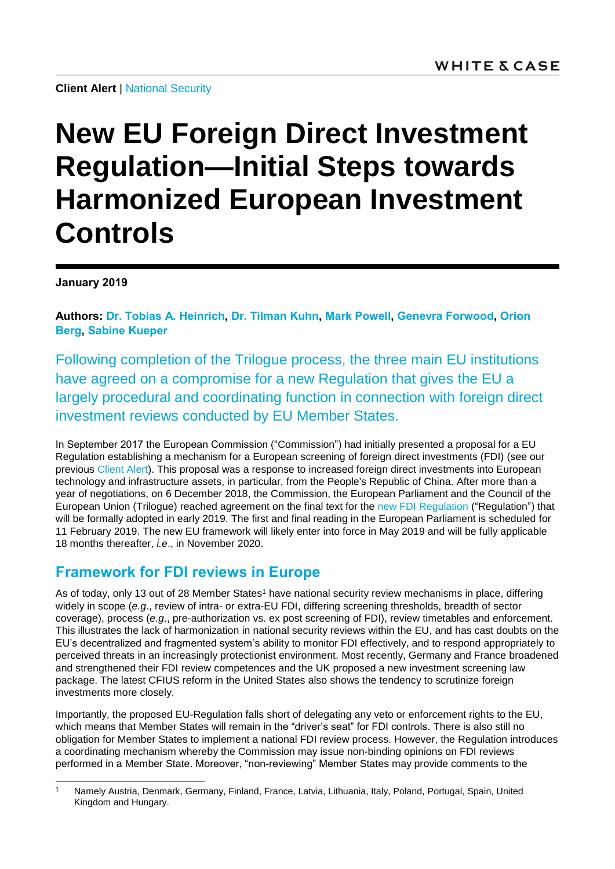**Client Alert** | [National Security](https://www.whitecase.com/law/practices/national-security)

# **New EU Foreign Direct Investment Regulation—Initial Steps towards Harmonized European Investment Controls**

**January 2019**

l

**Authors: [Dr. Tobias A. Heinrich,](https://www.whitecase.com/people/tobias-heinrich) [Dr. Tilman Kuhn,](https://www.whitecase.com/people/tilman-kuhn) [Mark Powell,](https://www.whitecase.com/people/mark-powell) [Genevra Forwood,](https://www.whitecase.com/people/genevra-forwood) [Orion](https://www.whitecase.com/people/orion-berg)  [Berg,](https://www.whitecase.com/people/orion-berg) [Sabine Kueper](https://www.whitecase.com/people/sabine-kueper)**

Following completion of the Trilogue process, the three main EU institutions have agreed on a compromise for a new Regulation that gives the EU a largely procedural and coordinating function in connection with foreign direct investment reviews conducted by EU Member States.

In September 2017 the European Commission ("Commission") had initially presented a proposal for a EU Regulation establishing a mechanism for a European screening of foreign direct investments (FDI) (see our previous [Client Alert\)](https://www.whitecase.com/publications/alert/european-commission-proposes-regulation-establishing-framework-review-foreign). This proposal was a response to increased foreign direct investments into European technology and infrastructure assets, in particular, from the People's Republic of China. After more than a year of negotiations, on 6 December 2018, the Commission, the European Parliament and the Council of the European Union (Trilogue) reached agreement on the final text for the [new FDI Regulation](http://www.europarl.europa.eu/meetdocs/2014_2019/plmrep/COMMITTEES/INTA/AG/2018/12-10/1171525EN.pdf) ("Regulation") that will be formally adopted in early 2019. The first and final reading in the European Parliament is scheduled for 11 February 2019. The new EU framework will likely enter into force in May 2019 and will be fully applicable 18 months thereafter, *i.e*., in November 2020.

### **Framework for FDI reviews in Europe**

As of today, only 13 out of 28 Member States<sup>1</sup> have national security review mechanisms in place, differing widely in scope (*e.g*., review of intra- or extra-EU FDI, differing screening thresholds, breadth of sector coverage), process (*e.g*., pre-authorization vs. ex post screening of FDI), review timetables and enforcement. This illustrates the lack of harmonization in national security reviews within the EU, and has cast doubts on the EU's decentralized and fragmented system's ability to monitor FDI effectively, and to respond appropriately to perceived threats in an increasingly protectionist environment. Most recently, Germany and France broadened and strengthened their FDI review competences and the UK proposed a new investment screening law package. The latest CFIUS reform in the United States also shows the tendency to scrutinize foreign investments more closely.

Importantly, the proposed EU-Regulation falls short of delegating any veto or enforcement rights to the EU, which means that Member States will remain in the "driver's seat" for FDI controls. There is also still no obligation for Member States to implement a national FDI review process. However, the Regulation introduces a coordinating mechanism whereby the Commission may issue non-binding opinions on FDI reviews performed in a Member State. Moreover, "non-reviewing" Member States may provide comments to the

<sup>1</sup> Namely Austria, Denmark, Germany, Finland, France, Latvia, Lithuania, Italy, Poland, Portugal, Spain, United Kingdom and Hungary.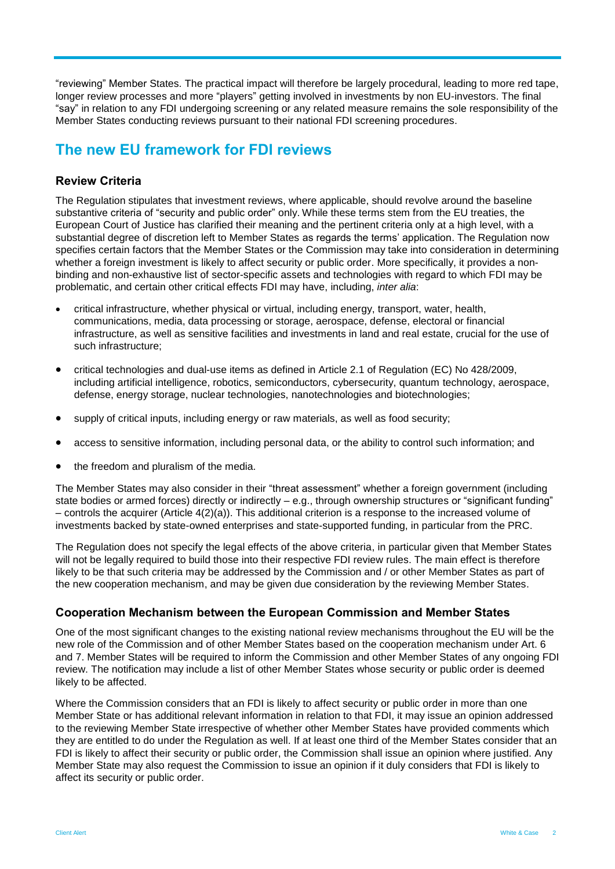"reviewing" Member States. The practical impact will therefore be largely procedural, leading to more red tape, longer review processes and more "players" getting involved in investments by non EU-investors. The final "say" in relation to any FDI undergoing screening or any related measure remains the sole responsibility of the Member States conducting reviews pursuant to their national FDI screening procedures.

## **The new EU framework for FDI reviews**

#### **Review Criteria**

The Regulation stipulates that investment reviews, where applicable, should revolve around the baseline substantive criteria of "security and public order" only. While these terms stem from the EU treaties, the European Court of Justice has clarified their meaning and the pertinent criteria only at a high level, with a substantial degree of discretion left to Member States as regards the terms' application. The Regulation now specifies certain factors that the Member States or the Commission may take into consideration in determining whether a foreign investment is likely to affect security or public order. More specifically, it provides a nonbinding and non-exhaustive list of sector-specific assets and technologies with regard to which FDI may be problematic, and certain other critical effects FDI may have, including, *inter alia*:

- critical infrastructure, whether physical or virtual, including energy, transport, water, health, communications, media, data processing or storage, aerospace, defense, electoral or financial infrastructure, as well as sensitive facilities and investments in land and real estate, crucial for the use of such infrastructure;
- critical technologies and dual-use items as defined in Article 2.1 of Regulation (EC) No 428/2009, including artificial intelligence, robotics, semiconductors, cybersecurity, quantum technology, aerospace, defense, energy storage, nuclear technologies, nanotechnologies and biotechnologies;
- supply of critical inputs, including energy or raw materials, as well as food security;
- access to sensitive information, including personal data, or the ability to control such information; and
- the freedom and pluralism of the media.

The Member States may also consider in their "threat assessment" whether a foreign government (including state bodies or armed forces) directly or indirectly – e.g., through ownership structures or "significant funding" – controls the acquirer (Article 4(2)(a)). This additional criterion is a response to the increased volume of investments backed by state-owned enterprises and state-supported funding, in particular from the PRC.

The Regulation does not specify the legal effects of the above criteria, in particular given that Member States will not be legally required to build those into their respective FDI review rules. The main effect is therefore likely to be that such criteria may be addressed by the Commission and / or other Member States as part of the new cooperation mechanism, and may be given due consideration by the reviewing Member States.

#### **Cooperation Mechanism between the European Commission and Member States**

One of the most significant changes to the existing national review mechanisms throughout the EU will be the new role of the Commission and of other Member States based on the cooperation mechanism under Art. 6 and 7. Member States will be required to inform the Commission and other Member States of any ongoing FDI review. The notification may include a list of other Member States whose security or public order is deemed likely to be affected.

Where the Commission considers that an FDI is likely to affect security or public order in more than one Member State or has additional relevant information in relation to that FDI, it may issue an opinion addressed to the reviewing Member State irrespective of whether other Member States have provided comments which they are entitled to do under the Regulation as well. If at least one third of the Member States consider that an FDI is likely to affect their security or public order, the Commission shall issue an opinion where justified. Any Member State may also request the Commission to issue an opinion if it duly considers that FDI is likely to affect its security or public order.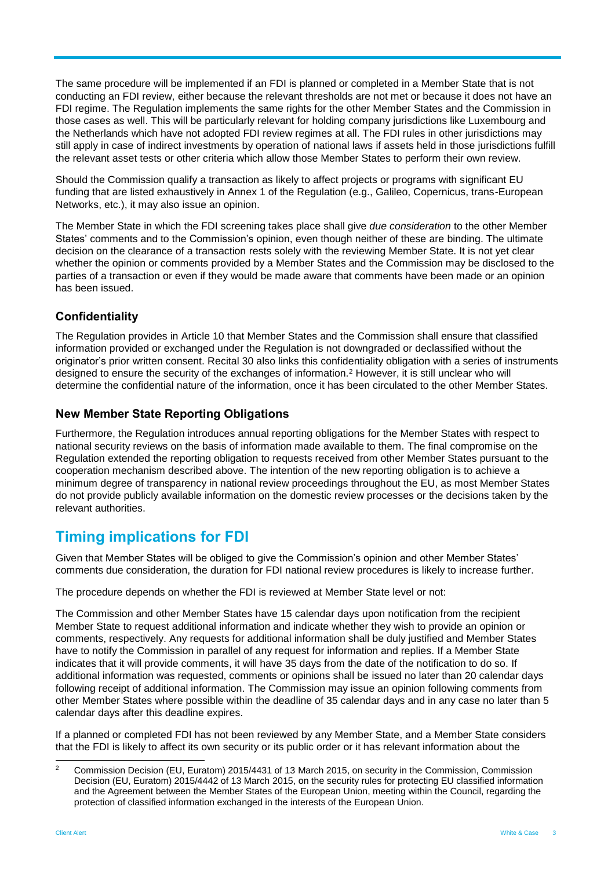The same procedure will be implemented if an FDI is planned or completed in a Member State that is not conducting an FDI review, either because the relevant thresholds are not met or because it does not have an FDI regime. The Regulation implements the same rights for the other Member States and the Commission in those cases as well. This will be particularly relevant for holding company jurisdictions like Luxembourg and the Netherlands which have not adopted FDI review regimes at all. The FDI rules in other jurisdictions may still apply in case of indirect investments by operation of national laws if assets held in those jurisdictions fulfill the relevant asset tests or other criteria which allow those Member States to perform their own review.

Should the Commission qualify a transaction as likely to affect projects or programs with significant EU funding that are listed exhaustively in Annex 1 of the Regulation (e.g., Galileo, Copernicus, trans-European Networks, etc.), it may also issue an opinion.

The Member State in which the FDI screening takes place shall give *due consideration* to the other Member States' comments and to the Commission's opinion, even though neither of these are binding. The ultimate decision on the clearance of a transaction rests solely with the reviewing Member State. It is not yet clear whether the opinion or comments provided by a Member States and the Commission may be disclosed to the parties of a transaction or even if they would be made aware that comments have been made or an opinion has been issued.

#### **Confidentiality**

The Regulation provides in Article 10 that Member States and the Commission shall ensure that classified information provided or exchanged under the Regulation is not downgraded or declassified without the originator's prior written consent. Recital 30 also links this confidentiality obligation with a series of instruments designed to ensure the security of the exchanges of information.<sup>2</sup> However, it is still unclear who will determine the confidential nature of the information, once it has been circulated to the other Member States.

#### **New Member State Reporting Obligations**

Furthermore, the Regulation introduces annual reporting obligations for the Member States with respect to national security reviews on the basis of information made available to them. The final compromise on the Regulation extended the reporting obligation to requests received from other Member States pursuant to the cooperation mechanism described above. The intention of the new reporting obligation is to achieve a minimum degree of transparency in national review proceedings throughout the EU, as most Member States do not provide publicly available information on the domestic review processes or the decisions taken by the relevant authorities.

## **Timing implications for FDI**

Given that Member States will be obliged to give the Commission's opinion and other Member States' comments due consideration, the duration for FDI national review procedures is likely to increase further.

The procedure depends on whether the FDI is reviewed at Member State level or not:

The Commission and other Member States have 15 calendar days upon notification from the recipient Member State to request additional information and indicate whether they wish to provide an opinion or comments, respectively. Any requests for additional information shall be duly justified and Member States have to notify the Commission in parallel of any request for information and replies. If a Member State indicates that it will provide comments, it will have 35 days from the date of the notification to do so. If additional information was requested, comments or opinions shall be issued no later than 20 calendar days following receipt of additional information. The Commission may issue an opinion following comments from other Member States where possible within the deadline of 35 calendar days and in any case no later than 5 calendar days after this deadline expires.

If a planned or completed FDI has not been reviewed by any Member State, and a Member State considers that the FDI is likely to affect its own security or its public order or it has relevant information about the

 $\overline{2}$ <sup>2</sup> Commission Decision (EU, Euratom) 2015/4431 of 13 March 2015, on security in the Commission, Commission Decision (EU, Euratom) 2015/4442 of 13 March 2015, on the security rules for protecting EU classified information and the Agreement between the Member States of the European Union, meeting within the Council, regarding the protection of classified information exchanged in the interests of the European Union.